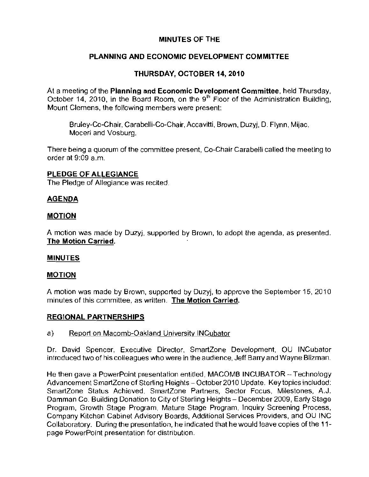## MINUTES OF THE

# PLANNING AND ECONOMIC DEVELOPMENT COMMITTEE

# THURSDAY, OCTOBER 14, 2010

At a meeting of the Planning and Economic Development Committee, held Thursday, October 14, 2010, in the Board Room, on the  $9<sup>th</sup>$  Floor of the Administration Building, Mount Clemens, the following members were present:

Bruley-Co-Chair, Carabelli-Co-Chair, Accavitti, Brown, Duzyj, D. Flynn, Mijac, Moceri and Vosburg.

There being a quorum of the committee present, Co-Chair Carabelli called the meeting to order at 9:09 a,m,

### PLEDGE OF ALLEGIANCE

The Pledge of Allegiance was recited.

### AGENDA

### MOTION

A motion was made by Duzyj, supported by Brown, to adopt the agenda, as presented. The Motion Carried,

### MINUTES

### MOTION

A motion was made by Brown, supported by Duzyi, to approve the September 15, 2010 minutes of this committee, as written. **The Motion Carried.** 

### REGIONAL PARTNERSHIPS

### a) Report on Macomb-Oakland University INCubator

Dr. David Spencer, Executive Director, SmartZone Development, OU INCubator introduced two of his colleagues who were in the audience, Jeff Barry and Wayne Blizman.

He then gave a PowerPoint presentation entitled, MACOMB INCUBATOR -- Technology Advancement SmartZone of Sterling Heights - October 2010 Update, Key topics included: SmartZone Status Achieved, SmartZone Partners, Sector Focus, Milestones, A.J. Damman Co, Building Donation to City of Sterling Heights - December 2009, Early Stage Program, Growth Stage Program, Mature Stage Program, Inquiry Screening Process, Company Kitchen Cabinet Advisory Boards, Additional Services Providers, and OU INC Collaboratory. During the presentation, he indicated that he would leave copies of the 11page PowerPoint presentation for distribution.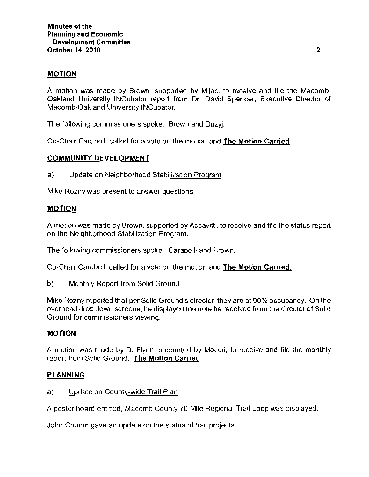### MOTION

A motion was made by Brown, supported by Mijac, to receive and file the Macomb Oakland University INCubator report from Dr. David Spencer, Executive Director of Macomb-Oakland University INCubator.

The following commissioners spoke: Brown and Duzyj.

Co-Chair Carabelli called for a vote on the motion and The Motion Carried.

### COMMUNITY DEVELOPMENT

a) Update on Neighborhood Stabilization Program

Mike Rozny was present to answer questions.

### MOTION

A motion was made by Brown, supported by Accavitti, to receive and file the status report on the Neighborhood Stabilization Program.

The following commissioners spoke: Carabelh and Brown.

Co-Chair Carabelli called for a vote on the motion and **The Motion Carried.** 

b) Monthly Report from Solid Ground

Mike Rozny reported that per Solid Ground's director, they are at 90% occupancy. On the overhead drop down screens, he displayed the note he received from the director of Solid Ground for commissioners viewing.

### MOTION

A motion was made by D. Flynn, supported by Moceri, to receive and file the monthly report from Solid Ground. The Motion Carried.

### PLANNING

a) Update on County-wide Trail Plan

A poster board entitled, Macomb County 70 Mile Regional Trail Loop was displayed.

John Crumm gave an update on the status of trail projects.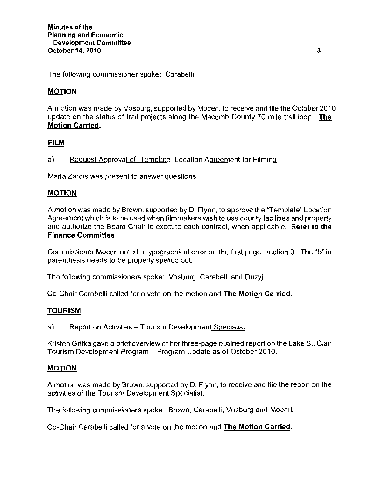The following commissioner spoke: Carabelli.

## MOTION

A motion was made by Vosburg, supported by Moceri, to receive and file the October 2010 update on the status of trail projects along the Macomb County 70 mile trail loop. The **Motion Carried.** 

### **FILM**

a) Request Approval of "Template" Location Agreement for Filming

Maria Zardis was present to answer questions.

### MOTION

A motion was made by Brown, supported by D. Flynn, to approve the "Template" Location Agreement which is to be used when filmmakers wish to use county facilities and property and authorize the Board Chair to execute each contract, when applicable. **Refer to the Finance Committee.** 

Commissioner Moceri noted a typographical error on the first page, section 3. The "b" in parenthesis needs to be properly spelled out.

The following commissioners spoke: Vosburg, Carabelli and Duzyj.

Co-Chair Carabelli called for a vote on the motion and **The Motion Carried.** 

### TOURISM

a) Report on Activities - Tourism Development Specialist

Kristen Grifka gave a brief overview of her three-page outlined report on the Lake St. Clair Tourism Development Program - Program Update as of October 2010.

### MOTION

A motion was made by Brown, supported by D. Flynn, to receive and file the report on the activities of the Tourism Development Specialist.

The following commissioners spoke: Brown, Carabelli, Vosburg and Moceri.

Co-Chair Carabelli called for a vote on the motion and **The Motion Carried.**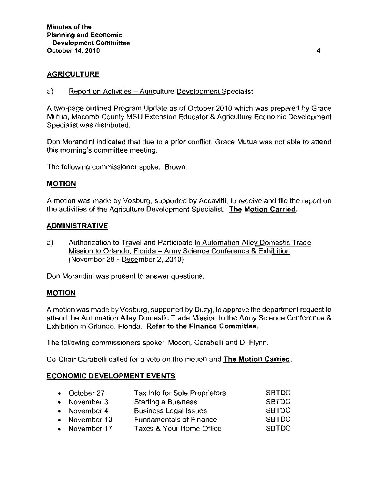## AGRICULTURE

a) Report on Activities - Agriculture Development Specialist

A two-page outlined Program Update as of October 2010 which was prepared by Grace Mutua, Macomb County MSU Extension Educator & Agriculture Economic Development Specialist was distributed.

Don Morandini indicated that due to a prior conflict, Grace Mutua was not able to attend this morning's committee meeting.

The following commissioner spoke: Brown.

### MOTION

A motion was made by Vosburg, supported by Accavitti, to receive and file the report on the activities of the Agriculture Development Specialist. The Motion Carried.

### ADMINISTRATIVE

a) Authorization to Travel and Participate in Automation Alley Domestic Trade Mission to Orlando, Florida - Army Science Conference & Exhibition (November 28 - December 2,2010)

Don Morandini was present to answer questions.

### MOTION

A motion was made by Vosburg, supported by Duzyj, to approve the department request to attend the Automation Alley Domestic Trade Mission to the Army Science Conference & Exhibition in Orlando, Florida. Refer to the Finance Committee.

The following commissioners spoke: Moceri, Carabelli and D. Flynn.

Co-Chair Carabelli called for a vote on the motion and The Motion Carried.

### ECONOMIC DEVELOPMENT EVENTS

| • October 27   | Tax Info for Sole Proprietors  | <b>SBTDC</b> |
|----------------|--------------------------------|--------------|
| • November $3$ | <b>Starting a Business</b>     | <b>SBTDC</b> |
| • November 4   | <b>Business Legal Issues</b>   | <b>SBTDC</b> |
| • November 10  | <b>Fundamentals of Finance</b> | <b>SBTDC</b> |
| • November 17  | Taxes & Your Home Office       | <b>SBTDC</b> |